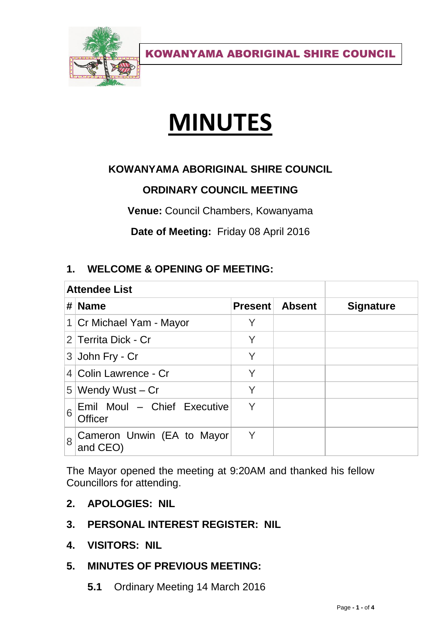

KOWANYAMA ABORIGINAL SHIRE COUNCIL

# **MINUTES**

# **KOWANYAMA ABORIGINAL SHIRE COUNCIL**

# **ORDINARY COUNCIL MEETING**

**Venue:** Council Chambers, Kowanyama

**Date of Meeting:** Friday 08 April 2016

## **1. WELCOME & OPENING OF MEETING:**

| <b>Attendee List</b> |                                               |                |               |                  |
|----------------------|-----------------------------------------------|----------------|---------------|------------------|
| #                    | <b>Name</b>                                   | <b>Present</b> | <b>Absent</b> | <b>Signature</b> |
|                      | 1 Cr Michael Yam - Mayor                      |                |               |                  |
|                      | 2 Territa Dick - Cr                           | Y              |               |                  |
|                      | $3$ John Fry - Cr                             | Y              |               |                  |
|                      | 4 Colin Lawrence - Cr                         | Y              |               |                  |
|                      | $5$ Wendy Wust – Cr                           | Y              |               |                  |
| 6                    | Emil Moul - Chief Executive<br><b>Officer</b> | Y              |               |                  |
| 8                    | Cameron Unwin (EA to Mayor<br>and CEO)        | Y              |               |                  |

The Mayor opened the meeting at 9:20AM and thanked his fellow Councillors for attending.

- **2. APOLOGIES: NIL**
- **3. PERSONAL INTEREST REGISTER: NIL**
- **4. VISITORS: NIL**
- **5. MINUTES OF PREVIOUS MEETING:** 
	- **5.1** Ordinary Meeting 14 March 2016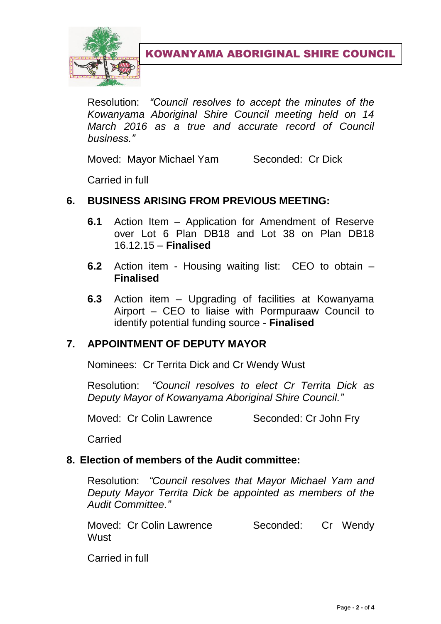

KOWANYAMA ABORIGINAL SHIRE COUNCIL

Resolution: *"Council resolves to accept the minutes of the Kowanyama Aboriginal Shire Council meeting held on 14 March 2016 as a true and accurate record of Council business."*

Moved: Mayor Michael Yam Seconded: Cr Dick

Carried in full

# **6. BUSINESS ARISING FROM PREVIOUS MEETING:**

- **6.1** Action Item Application for Amendment of Reserve over Lot 6 Plan DB18 and Lot 38 on Plan DB18 16.12.15 – **Finalised**
- **6.2** Action item Housing waiting list: CEO to obtain **Finalised**
- **6.3** Action item Upgrading of facilities at Kowanyama Airport – CEO to liaise with Pormpuraaw Council to identify potential funding source - **Finalised**

#### **7. APPOINTMENT OF DEPUTY MAYOR**

Nominees: Cr Territa Dick and Cr Wendy Wust

Resolution: *"Council resolves to elect Cr Territa Dick as Deputy Mayor of Kowanyama Aboriginal Shire Council."*

Moved: Cr Colin Lawrence Seconded: Cr John Fry

Carried

#### **8. Election of members of the Audit committee:**

Resolution: *"Council resolves that Mayor Michael Yam and Deputy Mayor Territa Dick be appointed as members of the Audit Committee."*

Moved: Cr Colin Lawrence Seconded: Cr Wendy Wust

Carried in full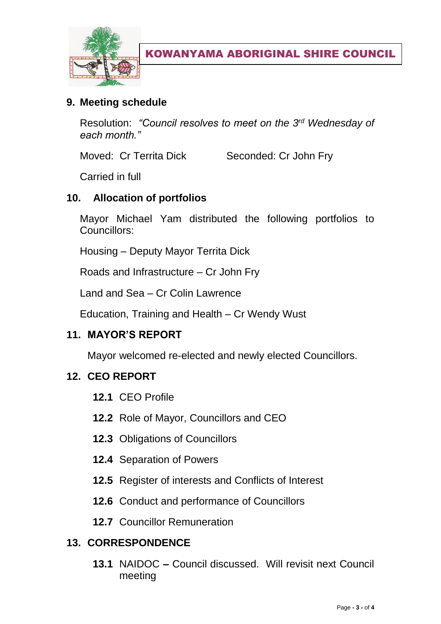

KOWANYAMA ABORIGINAL SHIRE COUNCIL

# **9. Meeting schedule**

Resolution: *"Council resolves to meet on the 3rd Wednesday of each month."*

Moved: Cr Territa Dick Seconded: Cr John Fry

Carried in full

## **10. Allocation of portfolios**

Mayor Michael Yam distributed the following portfolios to Councillors:

Housing – Deputy Mayor Territa Dick

Roads and Infrastructure – Cr John Fry

Land and Sea – Cr Colin Lawrence

Education, Training and Health – Cr Wendy Wust

#### **11. MAYOR'S REPORT**

Mayor welcomed re-elected and newly elected Councillors.

#### **12. CEO REPORT**

- **12.1** CEO Profile
- **12.2** Role of Mayor, Councillors and CEO
- **12.3** Obligations of Councillors
- **12.4** Separation of Powers
- **12.5** Register of interests and Conflicts of Interest
- **12.6** Conduct and performance of Councillors
- **12.7** Councillor Remuneration

# **13. CORRESPONDENCE**

**13.1** NAIDOC **–** Council discussed. Will revisit next Council meeting